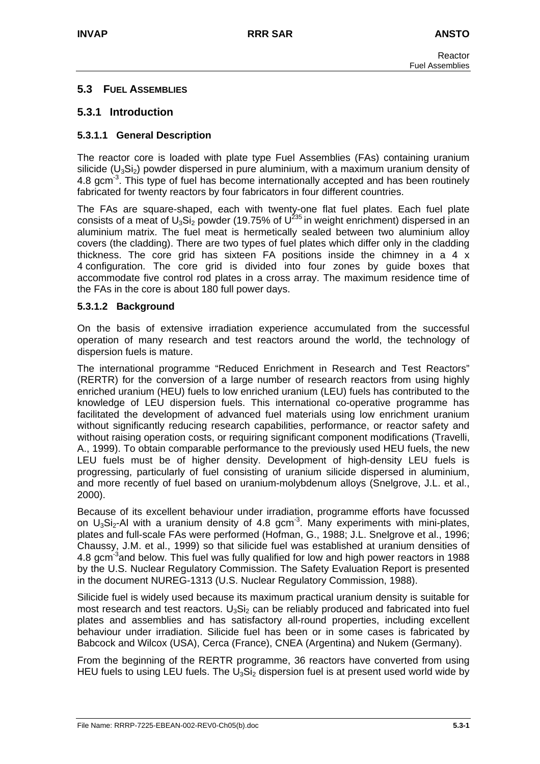# **5.3 FUEL ASSEMBLIES**

# **5.3.1 Introduction**

## **5.3.1.1 General Description**

The reactor core is loaded with plate type Fuel Assemblies (FAs) containing uranium silicide  $(U_3Si_2)$  powder dispersed in pure aluminium, with a maximum uranium density of 4.8 gcm $3$ . This type of fuel has become internationally accepted and has been routinely fabricated for twenty reactors by four fabricators in four different countries.

The FAs are square-shaped, each with twenty-one flat fuel plates. Each fuel plate consists of a meat of U<sub>3</sub>Si<sub>2</sub> powder (19.75% of U<sup>235</sup> in weight enrichment) dispersed in an aluminium matrix. The fuel meat is hermetically sealed between two aluminium alloy covers (the cladding). There are two types of fuel plates which differ only in the cladding thickness. The core grid has sixteen FA positions inside the chimney in a 4 x 4 configuration. The core grid is divided into four zones by guide boxes that accommodate five control rod plates in a cross array. The maximum residence time of the FAs in the core is about 180 full power days.

## **5.3.1.2 Background**

On the basis of extensive irradiation experience accumulated from the successful operation of many research and test reactors around the world, the technology of dispersion fuels is mature.

The international programme "Reduced Enrichment in Research and Test Reactors" (RERTR) for the conversion of a large number of research reactors from using highly enriched uranium (HEU) fuels to low enriched uranium (LEU) fuels has contributed to the knowledge of LEU dispersion fuels. This international co-operative programme has facilitated the development of advanced fuel materials using low enrichment uranium without significantly reducing research capabilities, performance, or reactor safety and without raising operation costs, or requiring significant component modifications (Travelli, A., 1999). To obtain comparable performance to the previously used HEU fuels, the new LEU fuels must be of higher density. Development of high-density LEU fuels is progressing, particularly of fuel consisting of uranium silicide dispersed in aluminium, and more recently of fuel based on uranium-molybdenum alloys (Snelgrove, J.L. et al., 2000).

Because of its excellent behaviour under irradiation, programme efforts have focussed on  $U_3S_2-AI$  with a uranium density of 4.8 gcm<sup>-3</sup>. Many experiments with mini-plates, plates and full-scale FAs were performed (Hofman, G., 1988; J.L. Snelgrove et al., 1996; Chaussy, J.M. et al., 1999) so that silicide fuel was established at uranium densities of 4.8 gcm<sup>-3</sup>and below. This fuel was fully qualified for low and high power reactors in 1988 by the U.S. Nuclear Regulatory Commission. The Safety Evaluation Report is presented in the document NUREG-1313 (U.S. Nuclear Regulatory Commission, 1988).

Silicide fuel is widely used because its maximum practical uranium density is suitable for most research and test reactors.  $U_3Si_2$  can be reliably produced and fabricated into fuel plates and assemblies and has satisfactory all-round properties, including excellent behaviour under irradiation. Silicide fuel has been or in some cases is fabricated by Babcock and Wilcox (USA), Cerca (France), CNEA (Argentina) and Nukem (Germany).

From the beginning of the RERTR programme, 36 reactors have converted from using HEU fuels to using LEU fuels. The  $U_3S<sub>12</sub>$  dispersion fuel is at present used world wide by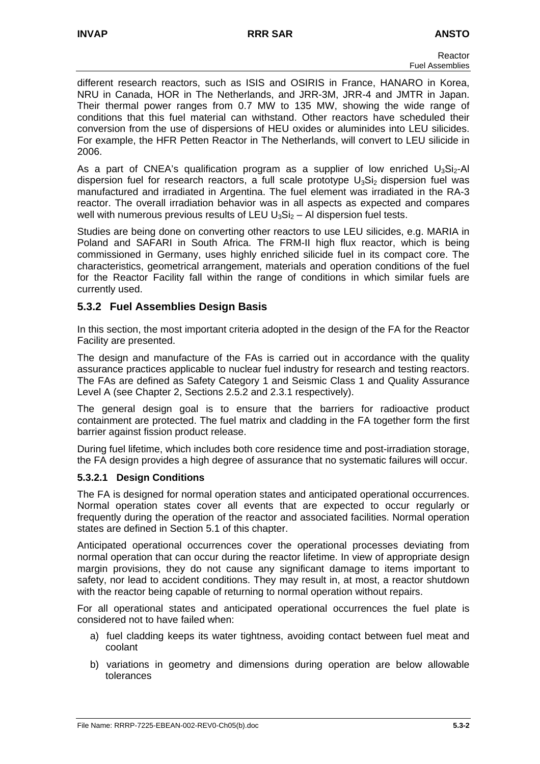different research reactors, such as ISIS and OSIRIS in France, HANARO in Korea, NRU in Canada, HOR in The Netherlands, and JRR-3M, JRR-4 and JMTR in Japan. Their thermal power ranges from 0.7 MW to 135 MW, showing the wide range of conditions that this fuel material can withstand. Other reactors have scheduled their conversion from the use of dispersions of HEU oxides or aluminides into LEU silicides. For example, the HFR Petten Reactor in The Netherlands, will convert to LEU silicide in 2006.

As a part of CNEA's qualification program as a supplier of low enriched  $U_3Si_2$ -Al dispersion fuel for research reactors, a full scale prototype  $U_3S_i$  dispersion fuel was manufactured and irradiated in Argentina. The fuel element was irradiated in the RA-3 reactor. The overall irradiation behavior was in all aspects as expected and compares well with numerous previous results of LEU  $U_3Si_2 - Al$  dispersion fuel tests.

Studies are being done on converting other reactors to use LEU silicides, e.g. MARIA in Poland and SAFARI in South Africa. The FRM-II high flux reactor, which is being commissioned in Germany, uses highly enriched silicide fuel in its compact core. The characteristics, geometrical arrangement, materials and operation conditions of the fuel for the Reactor Facility fall within the range of conditions in which similar fuels are currently used.

# **5.3.2 Fuel Assemblies Design Basis**

In this section, the most important criteria adopted in the design of the FA for the Reactor Facility are presented.

The design and manufacture of the FAs is carried out in accordance with the quality assurance practices applicable to nuclear fuel industry for research and testing reactors. The FAs are defined as Safety Category 1 and Seismic Class 1 and Quality Assurance Level A (see Chapter 2, Sections 2.5.2 and 2.3.1 respectively).

The general design goal is to ensure that the barriers for radioactive product containment are protected. The fuel matrix and cladding in the FA together form the first barrier against fission product release.

During fuel lifetime, which includes both core residence time and post-irradiation storage, the FA design provides a high degree of assurance that no systematic failures will occur.

# **5.3.2.1 Design Conditions**

The FA is designed for normal operation states and anticipated operational occurrences. Normal operation states cover all events that are expected to occur regularly or frequently during the operation of the reactor and associated facilities. Normal operation states are defined in Section 5.1 of this chapter.

Anticipated operational occurrences cover the operational processes deviating from normal operation that can occur during the reactor lifetime. In view of appropriate design margin provisions, they do not cause any significant damage to items important to safety, nor lead to accident conditions. They may result in, at most, a reactor shutdown with the reactor being capable of returning to normal operation without repairs.

For all operational states and anticipated operational occurrences the fuel plate is considered not to have failed when:

- a) fuel cladding keeps its water tightness, avoiding contact between fuel meat and coolant
- b) variations in geometry and dimensions during operation are below allowable tolerances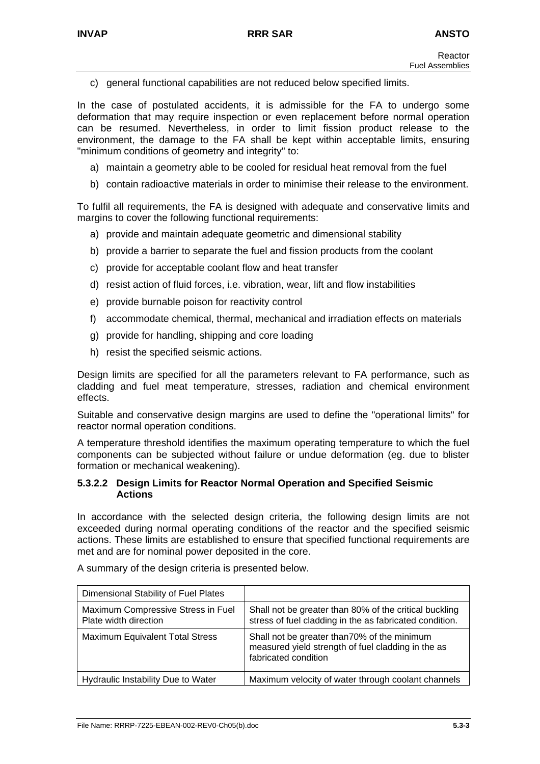c) general functional capabilities are not reduced below specified limits.

In the case of postulated accidents, it is admissible for the FA to undergo some deformation that may require inspection or even replacement before normal operation can be resumed. Nevertheless, in order to limit fission product release to the environment, the damage to the FA shall be kept within acceptable limits, ensuring "minimum conditions of geometry and integrity" to:

- a) maintain a geometry able to be cooled for residual heat removal from the fuel
- b) contain radioactive materials in order to minimise their release to the environment.

To fulfil all requirements, the FA is designed with adequate and conservative limits and margins to cover the following functional requirements:

- a) provide and maintain adequate geometric and dimensional stability
- b) provide a barrier to separate the fuel and fission products from the coolant
- c) provide for acceptable coolant flow and heat transfer
- d) resist action of fluid forces, i.e. vibration, wear, lift and flow instabilities
- e) provide burnable poison for reactivity control
- f) accommodate chemical, thermal, mechanical and irradiation effects on materials
- g) provide for handling, shipping and core loading
- h) resist the specified seismic actions.

Design limits are specified for all the parameters relevant to FA performance, such as cladding and fuel meat temperature, stresses, radiation and chemical environment effects.

Suitable and conservative design margins are used to define the "operational limits" for reactor normal operation conditions.

A temperature threshold identifies the maximum operating temperature to which the fuel components can be subjected without failure or undue deformation (eg. due to blister formation or mechanical weakening).

## **5.3.2.2 Design Limits for Reactor Normal Operation and Specified Seismic Actions**

In accordance with the selected design criteria, the following design limits are not exceeded during normal operating conditions of the reactor and the specified seismic actions. These limits are established to ensure that specified functional requirements are met and are for nominal power deposited in the core.

| Dimensional Stability of Fuel Plates                        |                                                                                                                            |
|-------------------------------------------------------------|----------------------------------------------------------------------------------------------------------------------------|
| Maximum Compressive Stress in Fuel<br>Plate width direction | Shall not be greater than 80% of the critical buckling<br>stress of fuel cladding in the as fabricated condition.          |
| <b>Maximum Equivalent Total Stress</b>                      | Shall not be greater than 70% of the minimum<br>measured yield strength of fuel cladding in the as<br>fabricated condition |
| <b>Hydraulic Instability Due to Water</b>                   | Maximum velocity of water through coolant channels                                                                         |

A summary of the design criteria is presented below.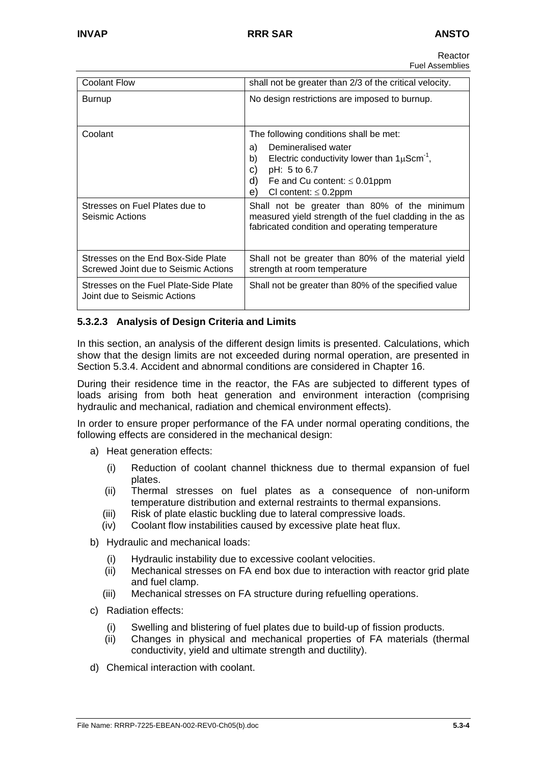| <b>Coolant Flow</b>                                                        | shall not be greater than 2/3 of the critical velocity.                                                                                                                                                                                                                                                                                                                                                     |
|----------------------------------------------------------------------------|-------------------------------------------------------------------------------------------------------------------------------------------------------------------------------------------------------------------------------------------------------------------------------------------------------------------------------------------------------------------------------------------------------------|
| Burnup                                                                     | No design restrictions are imposed to burnup.                                                                                                                                                                                                                                                                                                                                                               |
| Coolant<br>Stresses on Fuel Plates due to<br>Seismic Actions               | The following conditions shall be met:<br>Demineralised water<br>a)<br>Electric conductivity lower than $1\mu$ Scm <sup>-1</sup> ,<br>b)<br>C)<br>pH: 5 to 6.7<br>d)<br>Fe and Cu content: $\leq 0.01$ ppm<br>e).<br>CI content: $\leq 0.2$ ppm<br>Shall not be greater than 80% of the minimum<br>measured yield strength of the fuel cladding in the as<br>fabricated condition and operating temperature |
| Stresses on the End Box-Side Plate<br>Screwed Joint due to Seismic Actions | Shall not be greater than 80% of the material yield<br>strength at room temperature                                                                                                                                                                                                                                                                                                                         |
| Stresses on the Fuel Plate-Side Plate<br>Joint due to Seismic Actions      | Shall not be greater than 80% of the specified value                                                                                                                                                                                                                                                                                                                                                        |

# **5.3.2.3 Analysis of Design Criteria and Limits**

In this section, an analysis of the different design limits is presented. Calculations, which show that the design limits are not exceeded during normal operation, are presented in Section 5.3.4. Accident and abnormal conditions are considered in Chapter 16.

During their residence time in the reactor, the FAs are subjected to different types of loads arising from both heat generation and environment interaction (comprising hydraulic and mechanical, radiation and chemical environment effects).

In order to ensure proper performance of the FA under normal operating conditions, the following effects are considered in the mechanical design:

- a) Heat generation effects:
	- (i) Reduction of coolant channel thickness due to thermal expansion of fuel plates.
	- (ii) Thermal stresses on fuel plates as a consequence of non-uniform temperature distribution and external restraints to thermal expansions.
	- (iii) Risk of plate elastic buckling due to lateral compressive loads.
	- (iv) Coolant flow instabilities caused by excessive plate heat flux.
- b) Hydraulic and mechanical loads:
	- (i) Hydraulic instability due to excessive coolant velocities.
	- (ii) Mechanical stresses on FA end box due to interaction with reactor grid plate and fuel clamp.
	- (iii) Mechanical stresses on FA structure during refuelling operations.
- c) Radiation effects:
	- (i) Swelling and blistering of fuel plates due to build-up of fission products.
	- (ii) Changes in physical and mechanical properties of FA materials (thermal conductivity, yield and ultimate strength and ductility).
- d) Chemical interaction with coolant.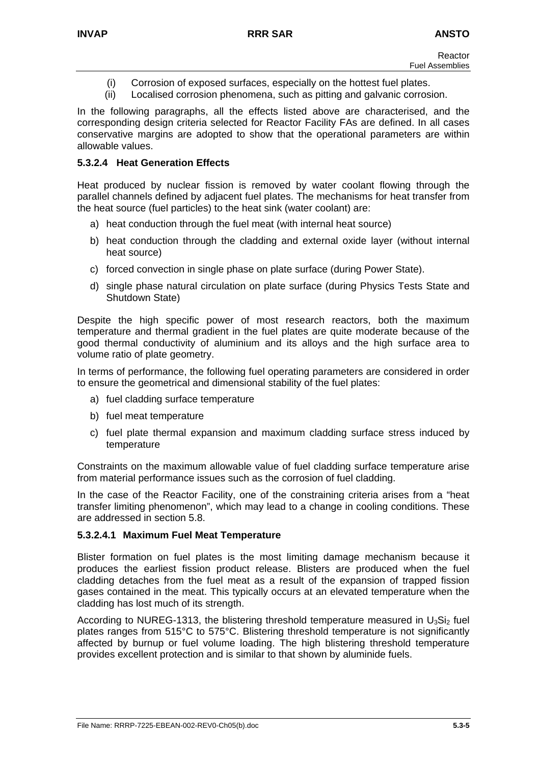- (i) Corrosion of exposed surfaces, especially on the hottest fuel plates.
- (ii) Localised corrosion phenomena, such as pitting and galvanic corrosion.

In the following paragraphs, all the effects listed above are characterised, and the corresponding design criteria selected for Reactor Facility FAs are defined. In all cases conservative margins are adopted to show that the operational parameters are within allowable values.

## **5.3.2.4 Heat Generation Effects**

Heat produced by nuclear fission is removed by water coolant flowing through the parallel channels defined by adjacent fuel plates. The mechanisms for heat transfer from the heat source (fuel particles) to the heat sink (water coolant) are:

- a) heat conduction through the fuel meat (with internal heat source)
- b) heat conduction through the cladding and external oxide layer (without internal heat source)
- c) forced convection in single phase on plate surface (during Power State).
- d) single phase natural circulation on plate surface (during Physics Tests State and Shutdown State)

Despite the high specific power of most research reactors, both the maximum temperature and thermal gradient in the fuel plates are quite moderate because of the good thermal conductivity of aluminium and its alloys and the high surface area to volume ratio of plate geometry.

In terms of performance, the following fuel operating parameters are considered in order to ensure the geometrical and dimensional stability of the fuel plates:

- a) fuel cladding surface temperature
- b) fuel meat temperature
- c) fuel plate thermal expansion and maximum cladding surface stress induced by temperature

Constraints on the maximum allowable value of fuel cladding surface temperature arise from material performance issues such as the corrosion of fuel cladding.

In the case of the Reactor Facility, one of the constraining criteria arises from a "heat transfer limiting phenomenon", which may lead to a change in cooling conditions. These are addressed in section 5.8.

## **5.3.2.4.1 Maximum Fuel Meat Temperature**

Blister formation on fuel plates is the most limiting damage mechanism because it produces the earliest fission product release. Blisters are produced when the fuel cladding detaches from the fuel meat as a result of the expansion of trapped fission gases contained in the meat. This typically occurs at an elevated temperature when the cladding has lost much of its strength.

According to NUREG-1313, the blistering threshold temperature measured in  $U_3S_i$  fuel plates ranges from 515°C to 575°C. Blistering threshold temperature is not significantly affected by burnup or fuel volume loading. The high blistering threshold temperature provides excellent protection and is similar to that shown by aluminide fuels.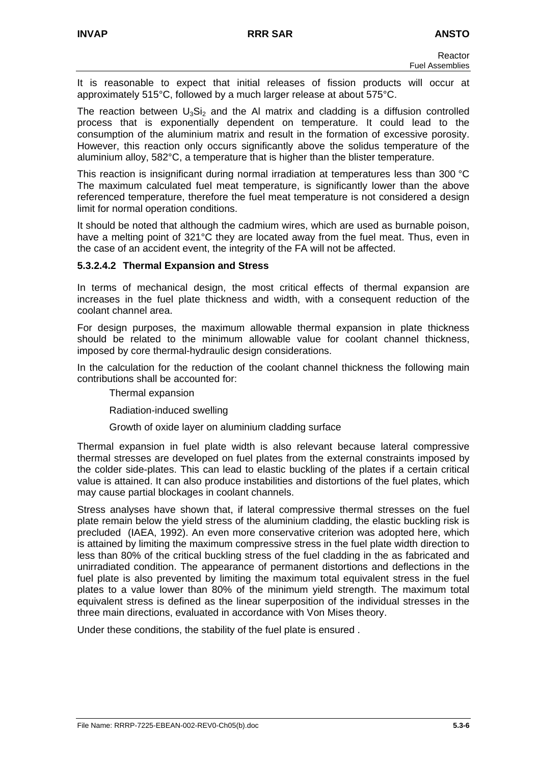It is reasonable to expect that initial releases of fission products will occur at approximately 515°C, followed by a much larger release at about 575°C.

The reaction between  $U_3Si_2$  and the Al matrix and cladding is a diffusion controlled process that is exponentially dependent on temperature. It could lead to the consumption of the aluminium matrix and result in the formation of excessive porosity. However, this reaction only occurs significantly above the solidus temperature of the aluminium alloy, 582°C, a temperature that is higher than the blister temperature.

This reaction is insignificant during normal irradiation at temperatures less than 300 °C The maximum calculated fuel meat temperature, is significantly lower than the above referenced temperature, therefore the fuel meat temperature is not considered a design limit for normal operation conditions.

It should be noted that although the cadmium wires, which are used as burnable poison, have a melting point of 321°C they are located away from the fuel meat. Thus, even in the case of an accident event, the integrity of the FA will not be affected.

## **5.3.2.4.2 Thermal Expansion and Stress**

In terms of mechanical design, the most critical effects of thermal expansion are increases in the fuel plate thickness and width, with a consequent reduction of the coolant channel area.

For design purposes, the maximum allowable thermal expansion in plate thickness should be related to the minimum allowable value for coolant channel thickness, imposed by core thermal-hydraulic design considerations.

In the calculation for the reduction of the coolant channel thickness the following main contributions shall be accounted for:

Thermal expansion

Radiation-induced swelling

Growth of oxide layer on aluminium cladding surface

Thermal expansion in fuel plate width is also relevant because lateral compressive thermal stresses are developed on fuel plates from the external constraints imposed by the colder side-plates. This can lead to elastic buckling of the plates if a certain critical value is attained. It can also produce instabilities and distortions of the fuel plates, which may cause partial blockages in coolant channels.

Stress analyses have shown that, if lateral compressive thermal stresses on the fuel plate remain below the yield stress of the aluminium cladding, the elastic buckling risk is precluded (IAEA, 1992). An even more conservative criterion was adopted here, which is attained by limiting the maximum compressive stress in the fuel plate width direction to less than 80% of the critical buckling stress of the fuel cladding in the as fabricated and unirradiated condition. The appearance of permanent distortions and deflections in the fuel plate is also prevented by limiting the maximum total equivalent stress in the fuel plates to a value lower than 80% of the minimum yield strength. The maximum total equivalent stress is defined as the linear superposition of the individual stresses in the three main directions, evaluated in accordance with Von Mises theory.

Under these conditions, the stability of the fuel plate is ensured .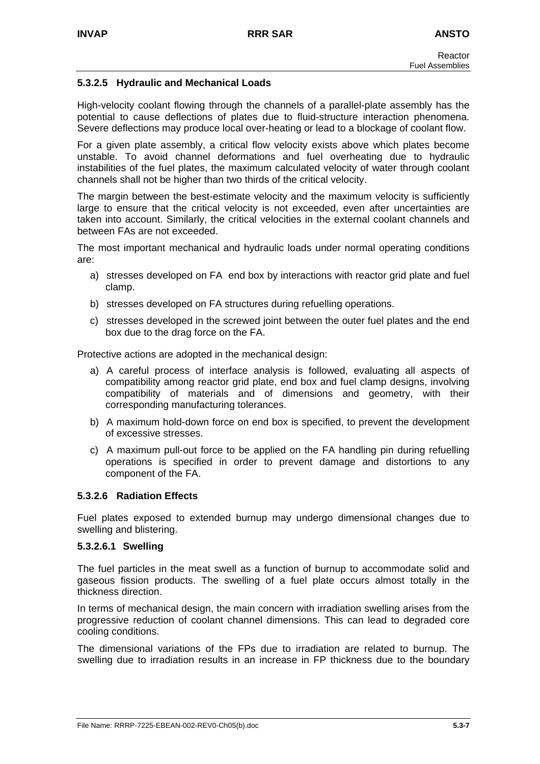## **5.3.2.5 Hydraulic and Mechanical Loads**

High-velocity coolant flowing through the channels of a parallel-plate assembly has the potential to cause deflections of plates due to fluid-structure interaction phenomena. Severe deflections may produce local over-heating or lead to a blockage of coolant flow.

For a given plate assembly, a critical flow velocity exists above which plates become unstable. To avoid channel deformations and fuel overheating due to hydraulic instabilities of the fuel plates, the maximum calculated velocity of water through coolant channels shall not be higher than two thirds of the critical velocity.

The margin between the best-estimate velocity and the maximum velocity is sufficiently large to ensure that the critical velocity is not exceeded, even after uncertainties are taken into account. Similarly, the critical velocities in the external coolant channels and between FAs are not exceeded.

The most important mechanical and hydraulic loads under normal operating conditions are:

- a) stresses developed on FA end box by interactions with reactor grid plate and fuel clamp.
- b) stresses developed on FA structures during refuelling operations.
- c) stresses developed in the screwed joint between the outer fuel plates and the end box due to the drag force on the FA.

Protective actions are adopted in the mechanical design:

- a) A careful process of interface analysis is followed, evaluating all aspects of compatibility among reactor grid plate, end box and fuel clamp designs, involving compatibility of materials and of dimensions and geometry, with their corresponding manufacturing tolerances.
- b) A maximum hold-down force on end box is specified, to prevent the development of excessive stresses.
- c) A maximum pull-out force to be applied on the FA handling pin during refuelling operations is specified in order to prevent damage and distortions to any component of the FA.

## **5.3.2.6 Radiation Effects**

Fuel plates exposed to extended burnup may undergo dimensional changes due to swelling and blistering.

## **5.3.2.6.1 Swelling**

The fuel particles in the meat swell as a function of burnup to accommodate solid and gaseous fission products. The swelling of a fuel plate occurs almost totally in the thickness direction.

In terms of mechanical design, the main concern with irradiation swelling arises from the progressive reduction of coolant channel dimensions. This can lead to degraded core cooling conditions.

The dimensional variations of the FPs due to irradiation are related to burnup. The swelling due to irradiation results in an increase in FP thickness due to the boundary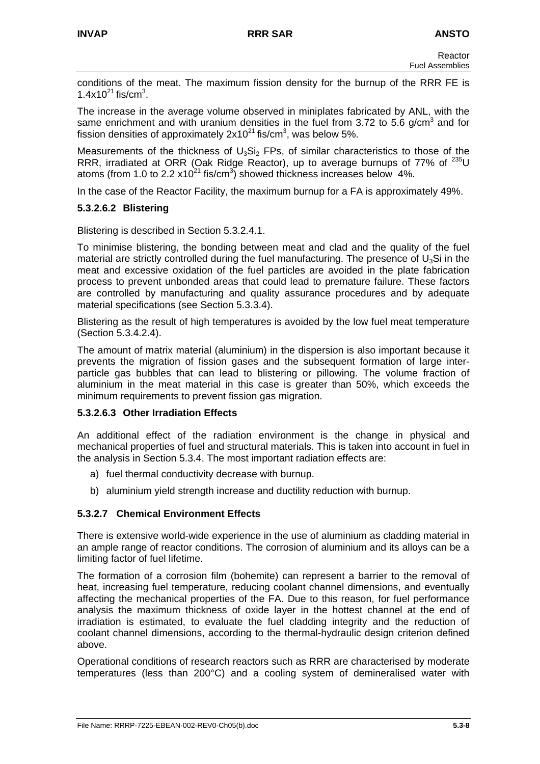conditions of the meat. The maximum fission density for the burnup of the RRR FE is  $1.4x10^{21}$  fis/cm<sup>3</sup>.

The increase in the average volume observed in miniplates fabricated by ANL, with the same enrichment and with uranium densities in the fuel from 3.72 to 5.6 g/cm<sup>3</sup> and for fission densities of approximately  $2x10^{21}$  fis/cm<sup>3</sup>, was below 5%.

Measurements of the thickness of  $U_3Si_2$  FPs, of similar characteristics to those of the RRR, irradiated at ORR (Oak Ridge Reactor), up to average burnups of 77% of <sup>235</sup>U atoms (from 1.0 to 2.2  $x10^{21}$  fis/cm<sup>3</sup>) showed thickness increases below 4%.

In the case of the Reactor Facility, the maximum burnup for a FA is approximately 49%.

# **5.3.2.6.2 Blistering**

Blistering is described in Section 5.3.2.4.1.

To minimise blistering, the bonding between meat and clad and the quality of the fuel material are strictly controlled during the fuel manufacturing. The presence of  $U_3S$  in the meat and excessive oxidation of the fuel particles are avoided in the plate fabrication process to prevent unbonded areas that could lead to premature failure. These factors are controlled by manufacturing and quality assurance procedures and by adequate material specifications (see Section 5.3.3.4).

Blistering as the result of high temperatures is avoided by the low fuel meat temperature (Section 5.3.4.2.4).

The amount of matrix material (aluminium) in the dispersion is also important because it prevents the migration of fission gases and the subsequent formation of large interparticle gas bubbles that can lead to blistering or pillowing. The volume fraction of aluminium in the meat material in this case is greater than 50%, which exceeds the minimum requirements to prevent fission gas migration.

## **5.3.2.6.3 Other Irradiation Effects**

An additional effect of the radiation environment is the change in physical and mechanical properties of fuel and structural materials. This is taken into account in fuel in the analysis in Section 5.3.4. The most important radiation effects are:

- a) fuel thermal conductivity decrease with burnup.
- b) aluminium yield strength increase and ductility reduction with burnup.

# **5.3.2.7 Chemical Environment Effects**

There is extensive world-wide experience in the use of aluminium as cladding material in an ample range of reactor conditions. The corrosion of aluminium and its alloys can be a limiting factor of fuel lifetime.

The formation of a corrosion film (bohemite) can represent a barrier to the removal of heat, increasing fuel temperature, reducing coolant channel dimensions, and eventually affecting the mechanical properties of the FA. Due to this reason, for fuel performance analysis the maximum thickness of oxide layer in the hottest channel at the end of irradiation is estimated, to evaluate the fuel cladding integrity and the reduction of coolant channel dimensions, according to the thermal-hydraulic design criterion defined above.

Operational conditions of research reactors such as RRR are characterised by moderate temperatures (less than 200°C) and a cooling system of demineralised water with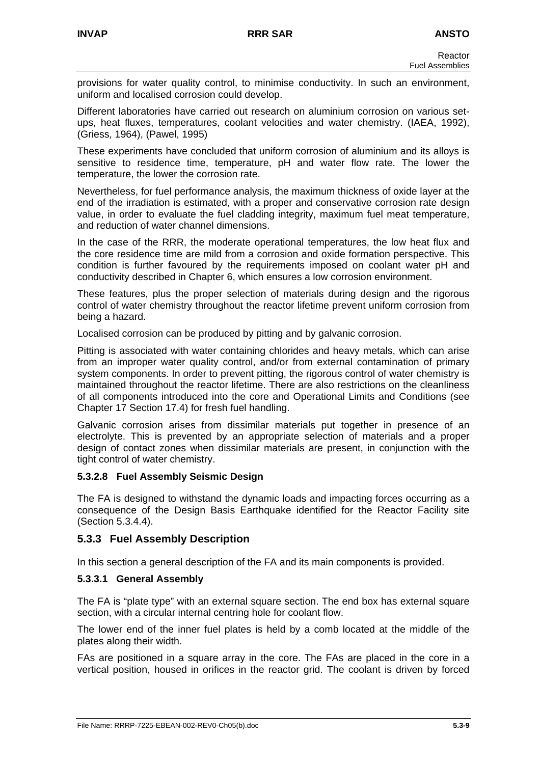provisions for water quality control, to minimise conductivity. In such an environment, uniform and localised corrosion could develop.

Different laboratories have carried out research on aluminium corrosion on various setups, heat fluxes, temperatures, coolant velocities and water chemistry. (IAEA, 1992), (Griess, 1964), (Pawel, 1995)

These experiments have concluded that uniform corrosion of aluminium and its alloys is sensitive to residence time, temperature, pH and water flow rate. The lower the temperature, the lower the corrosion rate.

Nevertheless, for fuel performance analysis, the maximum thickness of oxide layer at the end of the irradiation is estimated, with a proper and conservative corrosion rate design value, in order to evaluate the fuel cladding integrity, maximum fuel meat temperature, and reduction of water channel dimensions.

In the case of the RRR, the moderate operational temperatures, the low heat flux and the core residence time are mild from a corrosion and oxide formation perspective. This condition is further favoured by the requirements imposed on coolant water pH and conductivity described in Chapter 6, which ensures a low corrosion environment.

These features, plus the proper selection of materials during design and the rigorous control of water chemistry throughout the reactor lifetime prevent uniform corrosion from being a hazard.

Localised corrosion can be produced by pitting and by galvanic corrosion.

Pitting is associated with water containing chlorides and heavy metals, which can arise from an improper water quality control, and/or from external contamination of primary system components. In order to prevent pitting, the rigorous control of water chemistry is maintained throughout the reactor lifetime. There are also restrictions on the cleanliness of all components introduced into the core and Operational Limits and Conditions (see Chapter 17 Section 17.4) for fresh fuel handling.

Galvanic corrosion arises from dissimilar materials put together in presence of an electrolyte. This is prevented by an appropriate selection of materials and a proper design of contact zones when dissimilar materials are present, in conjunction with the tight control of water chemistry.

## **5.3.2.8 Fuel Assembly Seismic Design**

The FA is designed to withstand the dynamic loads and impacting forces occurring as a consequence of the Design Basis Earthquake identified for the Reactor Facility site (Section 5.3.4.4).

# **5.3.3 Fuel Assembly Description**

In this section a general description of the FA and its main components is provided.

## **5.3.3.1 General Assembly**

The FA is "plate type" with an external square section. The end box has external square section, with a circular internal centring hole for coolant flow.

The lower end of the inner fuel plates is held by a comb located at the middle of the plates along their width.

FAs are positioned in a square array in the core. The FAs are placed in the core in a vertical position, housed in orifices in the reactor grid. The coolant is driven by forced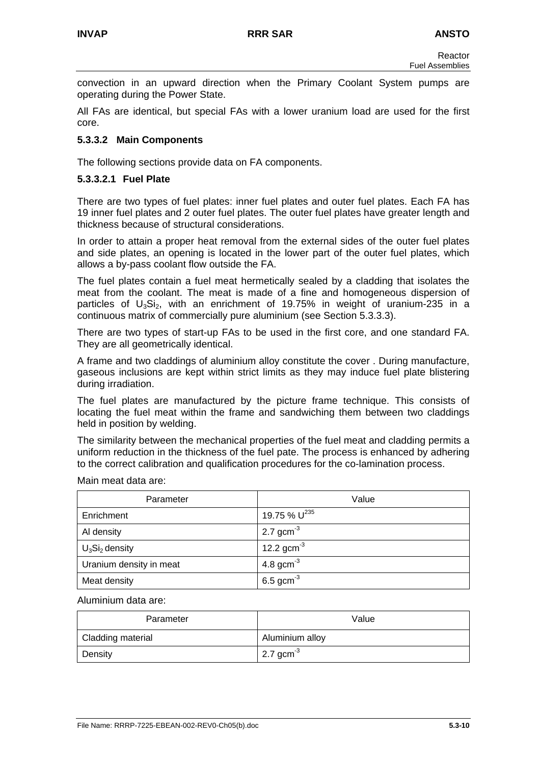convection in an upward direction when the Primary Coolant System pumps are operating during the Power State.

All FAs are identical, but special FAs with a lower uranium load are used for the first core.

## **5.3.3.2 Main Components**

The following sections provide data on FA components.

### **5.3.3.2.1 Fuel Plate**

There are two types of fuel plates: inner fuel plates and outer fuel plates. Each FA has 19 inner fuel plates and 2 outer fuel plates. The outer fuel plates have greater length and thickness because of structural considerations.

In order to attain a proper heat removal from the external sides of the outer fuel plates and side plates, an opening is located in the lower part of the outer fuel plates, which allows a by-pass coolant flow outside the FA.

The fuel plates contain a fuel meat hermetically sealed by a cladding that isolates the meat from the coolant. The meat is made of a fine and homogeneous dispersion of particles of  $U_3S_i$ , with an enrichment of 19.75% in weight of uranium-235 in a continuous matrix of commercially pure aluminium (see Section 5.3.3.3).

There are two types of start-up FAs to be used in the first core, and one standard FA. They are all geometrically identical.

A frame and two claddings of aluminium alloy constitute the cover . During manufacture, gaseous inclusions are kept within strict limits as they may induce fuel plate blistering during irradiation.

The fuel plates are manufactured by the picture frame technique. This consists of locating the fuel meat within the frame and sandwiching them between two claddings held in position by welding.

The similarity between the mechanical properties of the fuel meat and cladding permits a uniform reduction in the thickness of the fuel pate. The process is enhanced by adhering to the correct calibration and qualification procedures for the co-lamination process.

Main meat data are:

| Parameter               | Value             |
|-------------------------|-------------------|
| Enrichment              | 19.75 % $U^{235}$ |
| Al density              | 2.7 $gcm^{-3}$    |
| $U_3Si_2$ density       | 12.2 $gcm^{-3}$   |
| Uranium density in meat | 4.8 gcm $3$       |
| Meat density            | 6.5 gcm $3$       |

#### Aluminium data are:

| Parameter         | Value                 |
|-------------------|-----------------------|
| Cladding material | Aluminium alloy       |
| Density           | 2.7 gcm <sup>-3</sup> |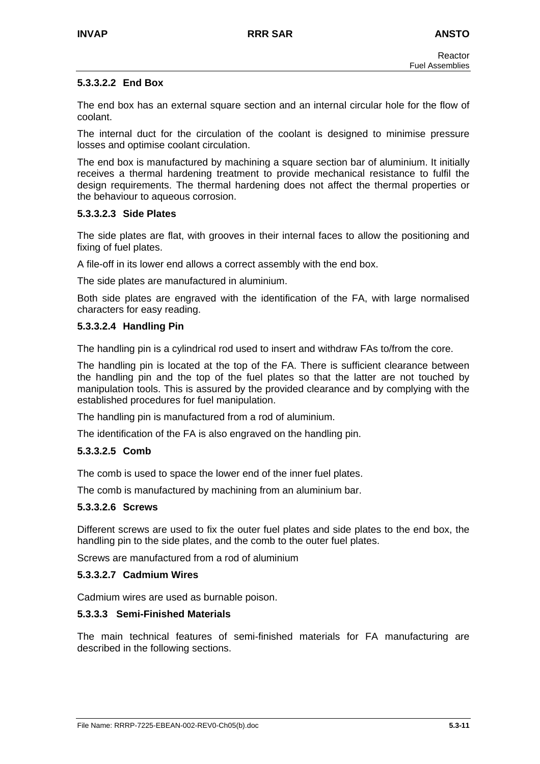## **5.3.3.2.2 End Box**

The end box has an external square section and an internal circular hole for the flow of coolant.

The internal duct for the circulation of the coolant is designed to minimise pressure losses and optimise coolant circulation.

The end box is manufactured by machining a square section bar of aluminium. It initially receives a thermal hardening treatment to provide mechanical resistance to fulfil the design requirements. The thermal hardening does not affect the thermal properties or the behaviour to aqueous corrosion.

## **5.3.3.2.3 Side Plates**

The side plates are flat, with grooves in their internal faces to allow the positioning and fixing of fuel plates.

A file-off in its lower end allows a correct assembly with the end box.

The side plates are manufactured in aluminium.

Both side plates are engraved with the identification of the FA, with large normalised characters for easy reading.

## **5.3.3.2.4 Handling Pin**

The handling pin is a cylindrical rod used to insert and withdraw FAs to/from the core.

The handling pin is located at the top of the FA. There is sufficient clearance between the handling pin and the top of the fuel plates so that the latter are not touched by manipulation tools. This is assured by the provided clearance and by complying with the established procedures for fuel manipulation.

The handling pin is manufactured from a rod of aluminium.

The identification of the FA is also engraved on the handling pin.

## **5.3.3.2.5 Comb**

The comb is used to space the lower end of the inner fuel plates.

The comb is manufactured by machining from an aluminium bar.

#### **5.3.3.2.6 Screws**

Different screws are used to fix the outer fuel plates and side plates to the end box, the handling pin to the side plates, and the comb to the outer fuel plates.

Screws are manufactured from a rod of aluminium

#### **5.3.3.2.7 Cadmium Wires**

Cadmium wires are used as burnable poison.

## **5.3.3.3 Semi-Finished Materials**

The main technical features of semi-finished materials for FA manufacturing are described in the following sections.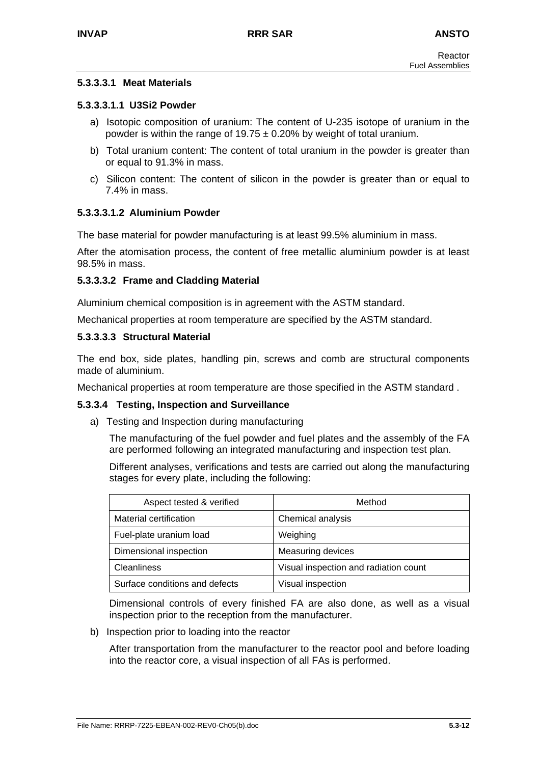## **5.3.3.3.1 Meat Materials**

## **5.3.3.3.1.1 U3Si2 Powder**

- a) Isotopic composition of uranium: The content of U-235 isotope of uranium in the powder is within the range of  $19.75 \pm 0.20\%$  by weight of total uranium.
- b) Total uranium content: The content of total uranium in the powder is greater than or equal to 91.3% in mass.
- c) Silicon content: The content of silicon in the powder is greater than or equal to 7.4% in mass.

## **5.3.3.3.1.2 Aluminium Powder**

The base material for powder manufacturing is at least 99.5% aluminium in mass.

After the atomisation process, the content of free metallic aluminium powder is at least 98.5% in mass.

## **5.3.3.3.2 Frame and Cladding Material**

Aluminium chemical composition is in agreement with the ASTM standard.

Mechanical properties at room temperature are specified by the ASTM standard.

#### **5.3.3.3.3 Structural Material**

The end box, side plates, handling pin, screws and comb are structural components made of aluminium.

Mechanical properties at room temperature are those specified in the ASTM standard .

## **5.3.3.4 Testing, Inspection and Surveillance**

a) Testing and Inspection during manufacturing

The manufacturing of the fuel powder and fuel plates and the assembly of the FA are performed following an integrated manufacturing and inspection test plan.

Different analyses, verifications and tests are carried out along the manufacturing stages for every plate, including the following:

| Aspect tested & verified       | Method                                |
|--------------------------------|---------------------------------------|
| Material certification         | Chemical analysis                     |
| Fuel-plate uranium load        | Weighing                              |
| Dimensional inspection         | Measuring devices                     |
| <b>Cleanliness</b>             | Visual inspection and radiation count |
| Surface conditions and defects | Visual inspection                     |

Dimensional controls of every finished FA are also done, as well as a visual inspection prior to the reception from the manufacturer.

b) Inspection prior to loading into the reactor

After transportation from the manufacturer to the reactor pool and before loading into the reactor core, a visual inspection of all FAs is performed.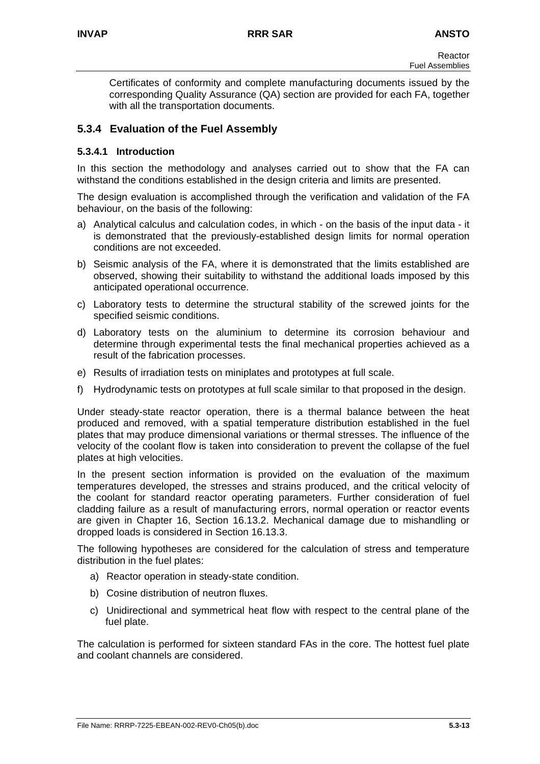Certificates of conformity and complete manufacturing documents issued by the corresponding Quality Assurance (QA) section are provided for each FA, together with all the transportation documents.

# **5.3.4 Evaluation of the Fuel Assembly**

# **5.3.4.1 Introduction**

In this section the methodology and analyses carried out to show that the FA can withstand the conditions established in the design criteria and limits are presented.

The design evaluation is accomplished through the verification and validation of the FA behaviour, on the basis of the following:

- a) Analytical calculus and calculation codes, in which on the basis of the input data it is demonstrated that the previously-established design limits for normal operation conditions are not exceeded.
- b) Seismic analysis of the FA, where it is demonstrated that the limits established are observed, showing their suitability to withstand the additional loads imposed by this anticipated operational occurrence.
- c) Laboratory tests to determine the structural stability of the screwed joints for the specified seismic conditions.
- d) Laboratory tests on the aluminium to determine its corrosion behaviour and determine through experimental tests the final mechanical properties achieved as a result of the fabrication processes.
- e) Results of irradiation tests on miniplates and prototypes at full scale.
- f) Hydrodynamic tests on prototypes at full scale similar to that proposed in the design.

Under steady-state reactor operation, there is a thermal balance between the heat produced and removed, with a spatial temperature distribution established in the fuel plates that may produce dimensional variations or thermal stresses. The influence of the velocity of the coolant flow is taken into consideration to prevent the collapse of the fuel plates at high velocities.

In the present section information is provided on the evaluation of the maximum temperatures developed, the stresses and strains produced, and the critical velocity of the coolant for standard reactor operating parameters. Further consideration of fuel cladding failure as a result of manufacturing errors, normal operation or reactor events are given in Chapter 16, Section 16.13.2. Mechanical damage due to mishandling or dropped loads is considered in Section 16.13.3.

The following hypotheses are considered for the calculation of stress and temperature distribution in the fuel plates:

- a) Reactor operation in steady-state condition.
- b) Cosine distribution of neutron fluxes.
- c) Unidirectional and symmetrical heat flow with respect to the central plane of the fuel plate.

The calculation is performed for sixteen standard FAs in the core. The hottest fuel plate and coolant channels are considered.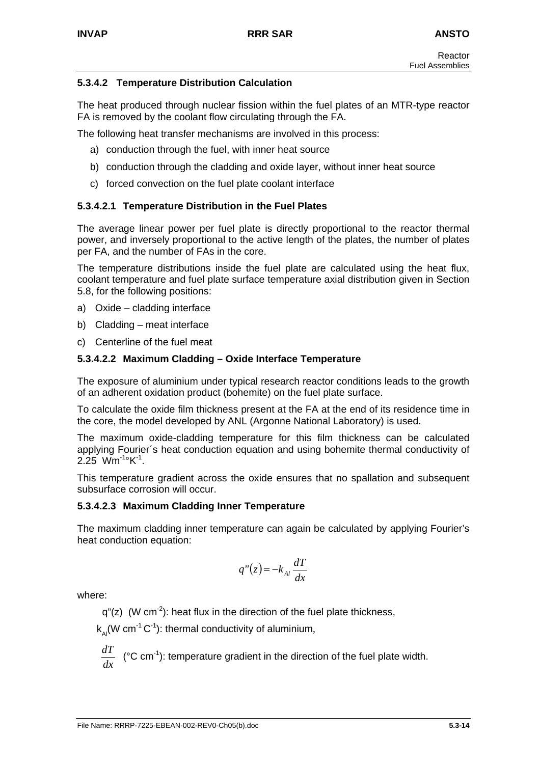# **5.3.4.2 Temperature Distribution Calculation**

The heat produced through nuclear fission within the fuel plates of an MTR-type reactor FA is removed by the coolant flow circulating through the FA.

The following heat transfer mechanisms are involved in this process:

- a) conduction through the fuel, with inner heat source
- b) conduction through the cladding and oxide layer, without inner heat source
- c) forced convection on the fuel plate coolant interface

# **5.3.4.2.1 Temperature Distribution in the Fuel Plates**

The average linear power per fuel plate is directly proportional to the reactor thermal power, and inversely proportional to the active length of the plates, the number of plates per FA, and the number of FAs in the core.

The temperature distributions inside the fuel plate are calculated using the heat flux, coolant temperature and fuel plate surface temperature axial distribution given in Section 5.8, for the following positions:

- a) Oxide cladding interface
- b) Cladding meat interface
- c) Centerline of the fuel meat

# **5.3.4.2.2 Maximum Cladding – Oxide Interface Temperature**

The exposure of aluminium under typical research reactor conditions leads to the growth of an adherent oxidation product (bohemite) on the fuel plate surface.

To calculate the oxide film thickness present at the FA at the end of its residence time in the core, the model developed by ANL (Argonne National Laboratory) is used.

The maximum oxide-cladding temperature for this film thickness can be calculated applying Fourier´s heat conduction equation and using bohemite thermal conductivity of  $2.25$  Wm<sup>-1</sup>°K<sup>-1</sup>.

This temperature gradient across the oxide ensures that no spallation and subsequent subsurface corrosion will occur.

## **5.3.4.2.3 Maximum Cladding Inner Temperature**

The maximum cladding inner temperature can again be calculated by applying Fourier's heat conduction equation:

$$
q''(z) = -k_{\scriptscriptstyle Al} \frac{dT}{dx}
$$

where:

 $q''(z)$  (W cm<sup>-2</sup>): heat flux in the direction of the fuel plate thickness,

 $k_n(W \text{ cm}^{-1} \text{ C}^{-1})$ : thermal conductivity of aluminium,

$$
\frac{dT}{dx}
$$
 (°C cm<sup>-1</sup>): temperature gradient in the direction of the fuel plate width.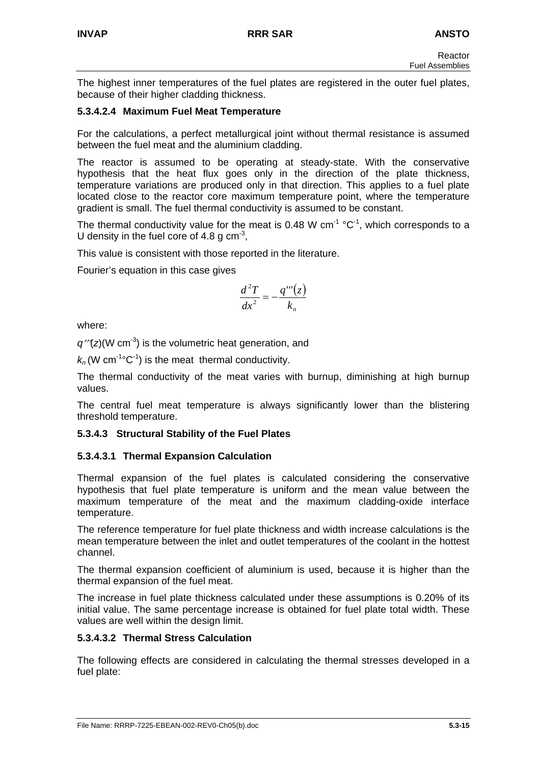The highest inner temperatures of the fuel plates are registered in the outer fuel plates, because of their higher cladding thickness.

# **5.3.4.2.4 Maximum Fuel Meat Temperature**

For the calculations, a perfect metallurgical joint without thermal resistance is assumed between the fuel meat and the aluminium cladding.

The reactor is assumed to be operating at steady-state. With the conservative hypothesis that the heat flux goes only in the direction of the plate thickness, temperature variations are produced only in that direction. This applies to a fuel plate located close to the reactor core maximum temperature point, where the temperature gradient is small. The fuel thermal conductivity is assumed to be constant.

The thermal conductivity value for the meat is 0.48 W cm<sup>-1</sup>  $^{\circ}$ C<sup>-1</sup>, which corresponds to a U density in the fuel core of 4.8 g  $cm<sup>-3</sup>$ ,

This value is consistent with those reported in the literature.

Fourier's equation in this case gives

$$
\frac{d^2T}{dx^2} = -\frac{q'''(z)}{k_n}
$$

where:

*q*′′′(*z*)(W cm-3) is the volumetric heat generation, and

 $k_n$  (W cm<sup>-1</sup>°C<sup>-1</sup>) is the meat thermal conductivity.

The thermal conductivity of the meat varies with burnup, diminishing at high burnup values.

The central fuel meat temperature is always significantly lower than the blistering threshold temperature.

# **5.3.4.3 Structural Stability of the Fuel Plates**

# **5.3.4.3.1 Thermal Expansion Calculation**

Thermal expansion of the fuel plates is calculated considering the conservative hypothesis that fuel plate temperature is uniform and the mean value between the maximum temperature of the meat and the maximum cladding-oxide interface temperature.

The reference temperature for fuel plate thickness and width increase calculations is the mean temperature between the inlet and outlet temperatures of the coolant in the hottest channel.

The thermal expansion coefficient of aluminium is used, because it is higher than the thermal expansion of the fuel meat.

The increase in fuel plate thickness calculated under these assumptions is 0.20% of its initial value. The same percentage increase is obtained for fuel plate total width. These values are well within the design limit.

# **5.3.4.3.2 Thermal Stress Calculation**

The following effects are considered in calculating the thermal stresses developed in a fuel plate: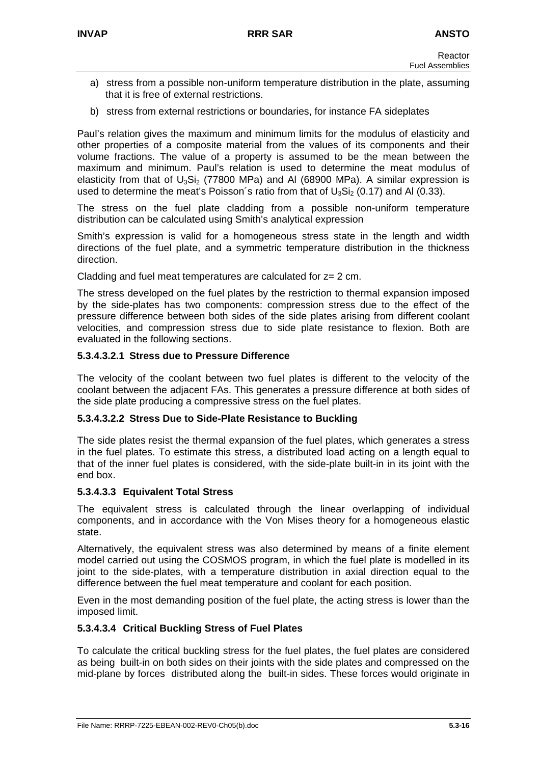- a) stress from a possible non-uniform temperature distribution in the plate, assuming that it is free of external restrictions.
- b) stress from external restrictions or boundaries, for instance FA sideplates

Paul's relation gives the maximum and minimum limits for the modulus of elasticity and other properties of a composite material from the values of its components and their volume fractions. The value of a property is assumed to be the mean between the maximum and minimum. Paul's relation is used to determine the meat modulus of elasticity from that of  $U_3Si_2$  (77800 MPa) and AI (68900 MPa). A similar expression is used to determine the meat's Poisson's ratio from that of  $U_3S<sub>12</sub>$  (0.17) and Al (0.33).

The stress on the fuel plate cladding from a possible non-uniform temperature distribution can be calculated using Smith's analytical expression

Smith's expression is valid for a homogeneous stress state in the length and width directions of the fuel plate, and a symmetric temperature distribution in the thickness direction.

Cladding and fuel meat temperatures are calculated for z= 2 cm.

The stress developed on the fuel plates by the restriction to thermal expansion imposed by the side-plates has two components: compression stress due to the effect of the pressure difference between both sides of the side plates arising from different coolant velocities, and compression stress due to side plate resistance to flexion. Both are evaluated in the following sections.

## **5.3.4.3.2.1 Stress due to Pressure Difference**

The velocity of the coolant between two fuel plates is different to the velocity of the coolant between the adjacent FAs. This generates a pressure difference at both sides of the side plate producing a compressive stress on the fuel plates.

## **5.3.4.3.2.2 Stress Due to Side-Plate Resistance to Buckling**

The side plates resist the thermal expansion of the fuel plates, which generates a stress in the fuel plates. To estimate this stress, a distributed load acting on a length equal to that of the inner fuel plates is considered, with the side-plate built-in in its joint with the end box.

## **5.3.4.3.3 Equivalent Total Stress**

The equivalent stress is calculated through the linear overlapping of individual components, and in accordance with the Von Mises theory for a homogeneous elastic state.

Alternatively, the equivalent stress was also determined by means of a finite element model carried out using the COSMOS program, in which the fuel plate is modelled in its joint to the side-plates, with a temperature distribution in axial direction equal to the difference between the fuel meat temperature and coolant for each position.

Even in the most demanding position of the fuel plate, the acting stress is lower than the imposed limit.

## **5.3.4.3.4 Critical Buckling Stress of Fuel Plates**

To calculate the critical buckling stress for the fuel plates, the fuel plates are considered as being built-in on both sides on their joints with the side plates and compressed on the mid-plane by forces distributed along the built-in sides. These forces would originate in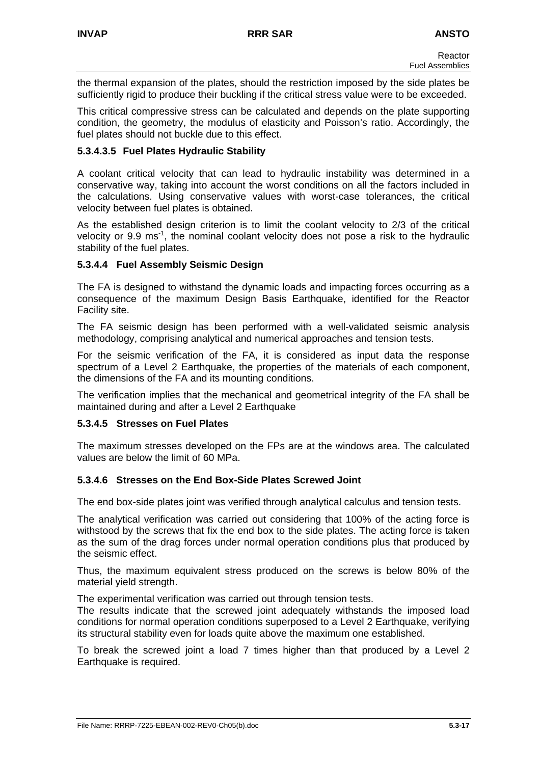the thermal expansion of the plates, should the restriction imposed by the side plates be sufficiently rigid to produce their buckling if the critical stress value were to be exceeded.

This critical compressive stress can be calculated and depends on the plate supporting condition, the geometry, the modulus of elasticity and Poisson's ratio. Accordingly, the fuel plates should not buckle due to this effect.

## **5.3.4.3.5 Fuel Plates Hydraulic Stability**

A coolant critical velocity that can lead to hydraulic instability was determined in a conservative way, taking into account the worst conditions on all the factors included in the calculations. Using conservative values with worst-case tolerances, the critical velocity between fuel plates is obtained.

As the established design criterion is to limit the coolant velocity to 2/3 of the critical velocity or 9.9 ms<sup>-1</sup>, the nominal coolant velocity does not pose a risk to the hydraulic stability of the fuel plates.

## **5.3.4.4 Fuel Assembly Seismic Design**

The FA is designed to withstand the dynamic loads and impacting forces occurring as a consequence of the maximum Design Basis Earthquake, identified for the Reactor Facility site.

The FA seismic design has been performed with a well-validated seismic analysis methodology, comprising analytical and numerical approaches and tension tests.

For the seismic verification of the FA, it is considered as input data the response spectrum of a Level 2 Earthquake, the properties of the materials of each component, the dimensions of the FA and its mounting conditions.

The verification implies that the mechanical and geometrical integrity of the FA shall be maintained during and after a Level 2 Earthquake

## **5.3.4.5 Stresses on Fuel Plates**

The maximum stresses developed on the FPs are at the windows area. The calculated values are below the limit of 60 MPa.

## **5.3.4.6 Stresses on the End Box-Side Plates Screwed Joint**

The end box-side plates joint was verified through analytical calculus and tension tests.

The analytical verification was carried out considering that 100% of the acting force is withstood by the screws that fix the end box to the side plates. The acting force is taken as the sum of the drag forces under normal operation conditions plus that produced by the seismic effect.

Thus, the maximum equivalent stress produced on the screws is below 80% of the material yield strength.

The experimental verification was carried out through tension tests.

The results indicate that the screwed joint adequately withstands the imposed load conditions for normal operation conditions superposed to a Level 2 Earthquake, verifying its structural stability even for loads quite above the maximum one established.

To break the screwed joint a load 7 times higher than that produced by a Level 2 Earthquake is required.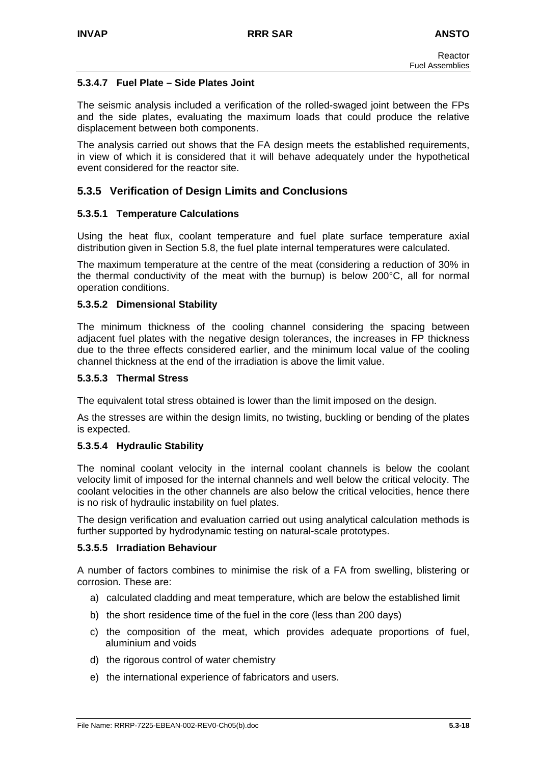# **5.3.4.7 Fuel Plate – Side Plates Joint**

The seismic analysis included a verification of the rolled-swaged joint between the FPs and the side plates, evaluating the maximum loads that could produce the relative displacement between both components.

The analysis carried out shows that the FA design meets the established requirements, in view of which it is considered that it will behave adequately under the hypothetical event considered for the reactor site.

# **5.3.5 Verification of Design Limits and Conclusions**

## **5.3.5.1 Temperature Calculations**

Using the heat flux, coolant temperature and fuel plate surface temperature axial distribution given in Section 5.8, the fuel plate internal temperatures were calculated.

The maximum temperature at the centre of the meat (considering a reduction of 30% in the thermal conductivity of the meat with the burnup) is below 200°C, all for normal operation conditions.

## **5.3.5.2 Dimensional Stability**

The minimum thickness of the cooling channel considering the spacing between adjacent fuel plates with the negative design tolerances, the increases in FP thickness due to the three effects considered earlier, and the minimum local value of the cooling channel thickness at the end of the irradiation is above the limit value.

#### **5.3.5.3 Thermal Stress**

The equivalent total stress obtained is lower than the limit imposed on the design.

As the stresses are within the design limits, no twisting, buckling or bending of the plates is expected.

## **5.3.5.4 Hydraulic Stability**

The nominal coolant velocity in the internal coolant channels is below the coolant velocity limit of imposed for the internal channels and well below the critical velocity. The coolant velocities in the other channels are also below the critical velocities, hence there is no risk of hydraulic instability on fuel plates.

The design verification and evaluation carried out using analytical calculation methods is further supported by hydrodynamic testing on natural-scale prototypes.

## **5.3.5.5 Irradiation Behaviour**

A number of factors combines to minimise the risk of a FA from swelling, blistering or corrosion. These are:

- a) calculated cladding and meat temperature, which are below the established limit
- b) the short residence time of the fuel in the core (less than 200 days)
- c) the composition of the meat, which provides adequate proportions of fuel, aluminium and voids
- d) the rigorous control of water chemistry
- e) the international experience of fabricators and users.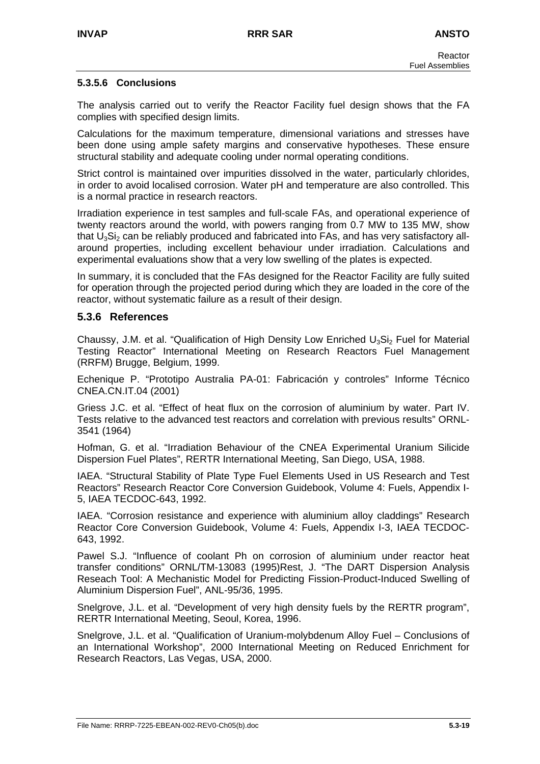## **5.3.5.6 Conclusions**

The analysis carried out to verify the Reactor Facility fuel design shows that the FA complies with specified design limits.

Calculations for the maximum temperature, dimensional variations and stresses have been done using ample safety margins and conservative hypotheses. These ensure structural stability and adequate cooling under normal operating conditions.

Strict control is maintained over impurities dissolved in the water, particularly chlorides, in order to avoid localised corrosion. Water pH and temperature are also controlled. This is a normal practice in research reactors.

Irradiation experience in test samples and full-scale FAs, and operational experience of twenty reactors around the world, with powers ranging from 0.7 MW to 135 MW, show that U<sub>3</sub>Si<sub>2</sub> can be reliably produced and fabricated into FAs, and has very satisfactory allaround properties, including excellent behaviour under irradiation. Calculations and experimental evaluations show that a very low swelling of the plates is expected.

In summary, it is concluded that the FAs designed for the Reactor Facility are fully suited for operation through the projected period during which they are loaded in the core of the reactor, without systematic failure as a result of their design.

## **5.3.6 References**

Chaussy, J.M. et al. "Qualification of High Density Low Enriched  $U_3Si_2$  Fuel for Material Testing Reactor" International Meeting on Research Reactors Fuel Management (RRFM) Brugge, Belgium, 1999.

Echenique P. "Prototipo Australia PA-01: Fabricación y controles" Informe Técnico CNEA.CN.IT.04 (2001)

Griess J.C. et al. "Effect of heat flux on the corrosion of aluminium by water. Part IV. Tests relative to the advanced test reactors and correlation with previous results" ORNL-3541 (1964)

Hofman, G. et al. "Irradiation Behaviour of the CNEA Experimental Uranium Silicide Dispersion Fuel Plates", RERTR International Meeting, San Diego, USA, 1988.

IAEA. "Structural Stability of Plate Type Fuel Elements Used in US Research and Test Reactors" Research Reactor Core Conversion Guidebook, Volume 4: Fuels, Appendix I-5, IAEA TECDOC-643, 1992.

IAEA. "Corrosion resistance and experience with aluminium alloy claddings" Research Reactor Core Conversion Guidebook, Volume 4: Fuels, Appendix I-3, IAEA TECDOC-643, 1992.

Pawel S.J. "Influence of coolant Ph on corrosion of aluminium under reactor heat transfer conditions" ORNL/TM-13083 (1995)Rest, J. "The DART Dispersion Analysis Reseach Tool: A Mechanistic Model for Predicting Fission-Product-Induced Swelling of Aluminium Dispersion Fuel", ANL-95/36, 1995.

Snelgrove, J.L. et al. "Development of very high density fuels by the RERTR program", RERTR International Meeting, Seoul, Korea, 1996.

Snelgrove, J.L. et al. "Qualification of Uranium-molybdenum Alloy Fuel – Conclusions of an International Workshop", 2000 International Meeting on Reduced Enrichment for Research Reactors, Las Vegas, USA, 2000.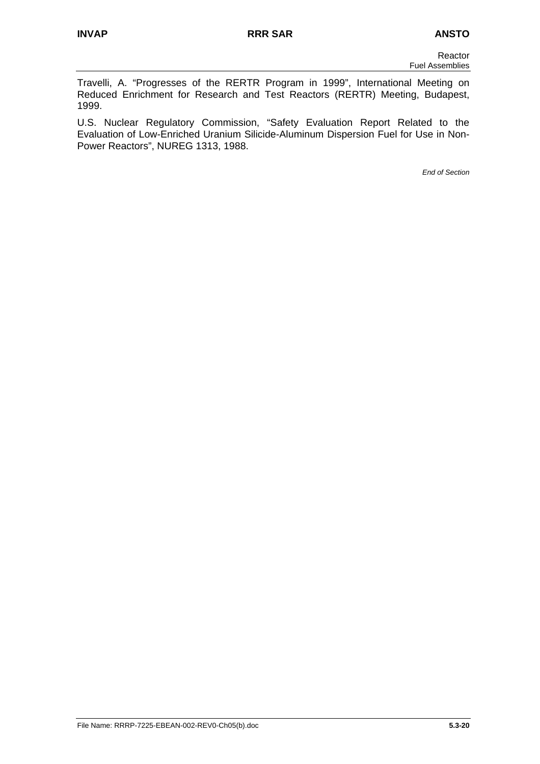Travelli, A. "Progresses of the RERTR Program in 1999", International Meeting on Reduced Enrichment for Research and Test Reactors (RERTR) Meeting, Budapest, 1999.

U.S. Nuclear Regulatory Commission, "Safety Evaluation Report Related to the Evaluation of Low-Enriched Uranium Silicide-Aluminum Dispersion Fuel for Use in Non-Power Reactors", NUREG 1313, 1988.

*End of Section*